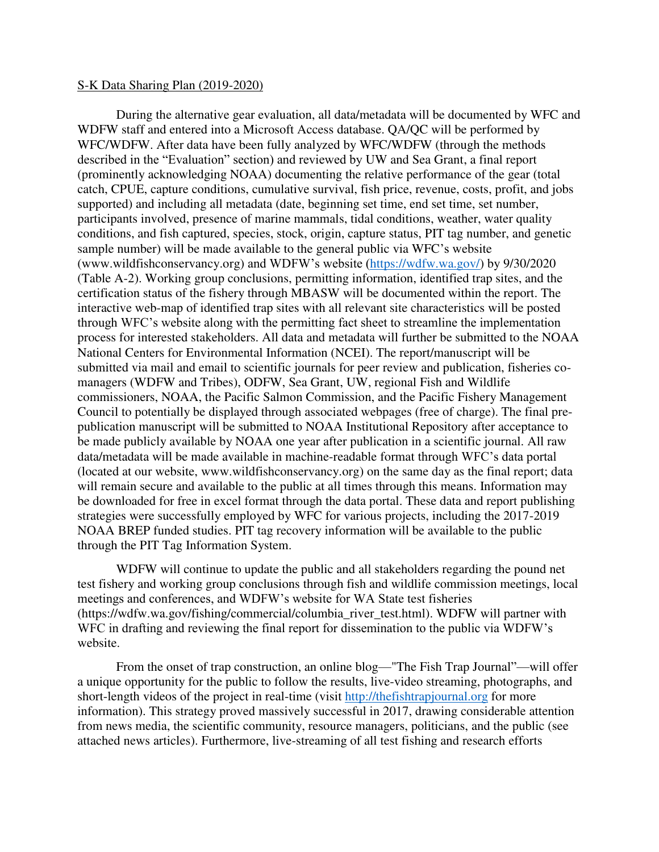## S-K Data Sharing Plan (2019-2020)

During the alternative gear evaluation, all data/metadata will be documented by WFC and WDFW staff and entered into a Microsoft Access database. QA/QC will be performed by WFC/WDFW. After data have been fully analyzed by WFC/WDFW (through the methods described in the "Evaluation" section) and reviewed by UW and Sea Grant, a final report (prominently acknowledging NOAA) documenting the relative performance of the gear (total catch, CPUE, capture conditions, cumulative survival, fish price, revenue, costs, profit, and jobs supported) and including all metadata (date, beginning set time, end set time, set number, participants involved, presence of marine mammals, tidal conditions, weather, water quality conditions, and fish captured, species, stock, origin, capture status, PIT tag number, and genetic sample number) will be made available to the general public via WFC's website (www.wildfishconservancy.org) and WDFW's website ([https://wdfw.wa.gov/\)](https://wdfw.wa.gov/) by 9/30/2020 (Table A-2). Working group conclusions, permitting information, identified trap sites, and the certification status of the fishery through MBASW will be documented within the report. The interactive web-map of identified trap sites with all relevant site characteristics will be posted through WFC's website along with the permitting fact sheet to streamline the implementation process for interested stakeholders. All data and metadata will further be submitted to the NOAA National Centers for Environmental Information (NCEI). The report/manuscript will be submitted via mail and email to scientific journals for peer review and publication, fisheries comanagers (WDFW and Tribes), ODFW, Sea Grant, UW, regional Fish and Wildlife commissioners, NOAA, the Pacific Salmon Commission, and the Pacific Fishery Management Council to potentially be displayed through associated webpages (free of charge). The final prepublication manuscript will be submitted to NOAA Institutional Repository after acceptance to be made publicly available by NOAA one year after publication in a scientific journal. All raw data/metadata will be made available in machine-readable format through WFC's data portal (located at our website, www.wildfishconservancy.org) on the same day as the final report; data will remain secure and available to the public at all times through this means. Information may be downloaded for free in excel format through the data portal. These data and report publishing strategies were successfully employed by WFC for various projects, including the 2017-2019 NOAA BREP funded studies. PIT tag recovery information will be available to the public through the PIT Tag Information System.

WDFW will continue to update the public and all stakeholders regarding the pound net test fishery and working group conclusions through fish and wildlife commission meetings, local meetings and conferences, and WDFW's website for WA State test fisheries (https://wdfw.wa.gov/fishing/commercial/columbia\_river\_test.html). WDFW will partner with WFC in drafting and reviewing the final report for dissemination to the public via WDFW's website.

From the onset of trap construction, an online blog—"The Fish Trap Journal"—will offer a unique opportunity for the public to follow the results, live-video streaming, photographs, and short-length videos of the project in real-time (visit [http://thefishtrapjournal.org](http://thefishtrapjournal.org/) for more information). This strategy proved massively successful in 2017, drawing considerable attention from news media, the scientific community, resource managers, politicians, and the public (see attached news articles). Furthermore, live-streaming of all test fishing and research efforts